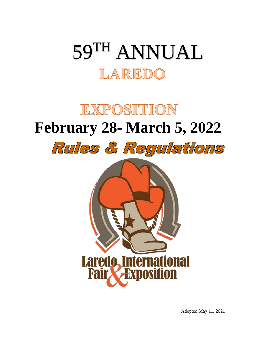# 59TH ANNUAL LAREDO

## EXPOSITION **February 28- March 5, 2022**Rules & Regulations



Adopted May 11, 2021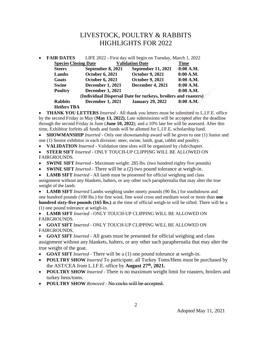## LIVESTOCK, POULTRY & RABBITS HIGHLIGHTS FOR 2022

| $\bullet$ | <b>FAIR DATES</b>                                              | LIFE 2022 - First day will begin on Tuesday, March 1, 2022 |                           |             |  |
|-----------|----------------------------------------------------------------|------------------------------------------------------------|---------------------------|-------------|--|
|           | <b>Species Closing Date</b>                                    |                                                            | <b>Validation Date</b>    | <b>Time</b> |  |
|           | <b>Steers</b>                                                  | September 8, 2021                                          | <b>September 11, 2021</b> | 8:00 A.M.   |  |
|           | Lambs                                                          | <b>October 6, 2021</b>                                     | <b>October 9, 2021</b>    | 8:00 A.M.   |  |
|           | Goats                                                          | <b>October 6, 2021</b>                                     | <b>October 9, 2021</b>    | 8:00 A.M.   |  |
|           | <b>Swine</b>                                                   | <b>December 1, 2021</b>                                    | <b>December 4, 2021</b>   | 8:00 A.M.   |  |
|           | <b>Poultry</b>                                                 | <b>December 1, 2021</b>                                    |                           | 8:00 A.M.   |  |
|           | (Individual Dispersal Date for turkeys, broilers and roasters) |                                                            |                           |             |  |
|           | <b>Rabbits</b>                                                 | <b>December 1, 2021</b>                                    | <b>January 29, 2022</b>   | 8:00 A.M.   |  |
|           | <b>Heifers TBA</b>                                             |                                                            |                           |             |  |

• **THANK YOU LETTERS** *Inserted -* All thank you letters must be submitted to L.I.F.E. office by the second Friday in May (**May 13, 2022).** Late submissions will be accepted after the deadline through the second Friday in June (**June 10, 2022**); and a 10% late fee will be assessed. After this time, Exhibitor forfeits all funds and funds will be allotted for L.I.F.E. scholarship fund.

• **SHOWMANSHIP** *Inserted* - Only one showmanship award will be given to one (1) Junior and one (1) Senior exhibitor in each division: steer, swine, lamb, goat, rabbit and poultry.

• **VALIDATION** *Inserted -* Validation time slots will be organized by club/chapter.

• **STEER SIFT** *Inserted -* ONLY TOUCH-UP CLIPPING WILL BE ALLOWED ON FAIRGROUNDS.

- **SWINE SIFT** *Inserted -* Maximum weight: 285 lbs. (two hundred eighty five pounds)
- **SWINE SIFT** *Inserted -* There will be a (2) two pound tolerance at weigh-in.

• **LAMB SIFT** *Inserted -* All lamb must be presented for official weighing and class assignment without any blankets, halters, or any other such paraphernalia that may alter the true weight of the lamb.

• **LAMB SIFT** *Inserted* Lambs weighing under ninety pounds (90 lbs.) for southdowns and one hundred pounds (100 lbs.) for fine wool, fine wool cross and medium wool or more than **one hundred sixty-five pounds (165 lbs.)** at the time of official weigh-in will be sifted. There will be a (1) one pound tolerance at weigh-in.

• **LAMB SIFT** *Inserted -* ONLY TOUCH-UP CLIPPING WILL BE ALLOWED ON FAIRGROUNDS.

• **GOAT SIFT** *Inserted -* ONLY TOUCH-UP CLIPPING WILL BE ALLOWED ON FAIRGROUNDS.

• **GOAT SIFT** *Inserted -* All goats must be presented for official weighing and class assignment without any blankets, halters, or any other such paraphernalia that may alter the true weight of the goat.

• **GOAT SIFT** *Inserted -* There will be a (1) one pound tolerance at weigh-in.

- **POULTRY SHOW** *Inserted* To participate, all Turkey Toms/Hens must be purchased by the AST/CEA from L.I.F.E. office by **August 27th, 2021.**
- **POULTRY SHOW** *Inserted -* There is no maximum weight limit for roasters, broilers and turkey hens/toms.
- **POULTRY SHOW** *Removed -* No cocks will be accepted.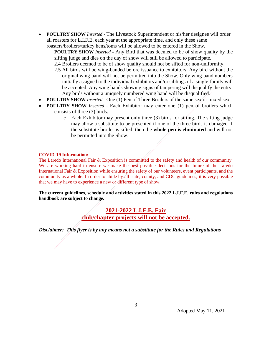• **POULTRY SHOW** *Inserted -* The Livestock Superintendent or his/her designee will order all roasters for L.I.F.E. each year at the appropriate time, and only these same roasters/broilers/turkey hens/toms will be allowed to be entered in the Show.

**POULTRY SHOW** *Inserted -* Any Bird that was deemed to be of show quality by the sifting judge and dies on the day of show will still be allowed to participate.

- 2.4 Broilers deemed to be of show quality should not be sifted for non-uniformity.
- 2.5 All birds will be wing-banded before issuance to exhibitors. Any bird without the original wing band will not be permitted into the Show. Only wing band numbers initially assigned to the individual exhibitors and/or siblings of a single-family will be accepted. Any wing bands showing signs of tampering will disqualify the entry. Any birds without a uniquely numbered wing band will be disqualified.
- **POULTRY SHOW** *Inserted -* One (1) Pen of Three Broilers of the same sex or mixed sex.
- **POULTRY SHOW** *Inserted -* Each Exhibitor may enter one (1) pen of broilers which consists of three (3) birds.
	- o Each Exhibitor may present only three (3) birds for sifting. The sifting judge may allow a substitute to be presented if one of the three birds is damaged If the substitute broiler is sifted, then the **whole pen is eliminated** and will not be permitted into the Show.

#### **COVID-19 Information:**

The Laredo International Fair & Exposition is committed to the safety and health of our community. We are working hard to ensure we make the best possible decisions for the future of the Laredo International Fair & Exposition while ensuring the safety of our volunteers, event participants, and the community as a whole. In order to abide by all state, county, and CDC guidelines, it is very possible that we may have to experience a new or different type of show.

**The current guidelines, schedule and activities stated in this 2022 L.I.F.E. rules and regulations handbook are subject to change.**

#### **2021-2022 L.I.F.E. Fair club/chapter projects will not be accepted.**

*Disclaimer: This flyer is by any means not a substitute for the Rules and Regulations*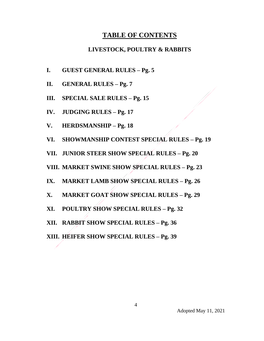## **TABLE OF CONTENTS**

#### **LIVESTOCK, POULTRY & RABBITS**

- **I. GUEST GENERAL RULES – Pg. 5**
- **II. GENERAL RULES – Pg. 7**
- **III. SPECIAL SALE RULES – Pg. 15**
- **IV. JUDGING RULES – Pg. 17**
- **V. HERDSMANSHIP – Pg. 18**
- **VI. SHOWMANSHIP CONTEST SPECIAL RULES – Pg. 19**

**VII. JUNIOR STEER SHOW SPECIAL RULES – Pg. 20**

**VIII. MARKET SWINE SHOW SPECIAL RULES – Pg. 23**

- **IX. MARKET LAMB SHOW SPECIAL RULES – Pg. 26**
- **X. MARKET GOAT SHOW SPECIAL RULES – Pg. 29**
- **XI. POULTRY SHOW SPECIAL RULES – Pg. 32**
- **XII. RABBIT SHOW SPECIAL RULES – Pg. 36**

**XIII. HEIFER SHOW SPECIAL RULES – Pg. 39**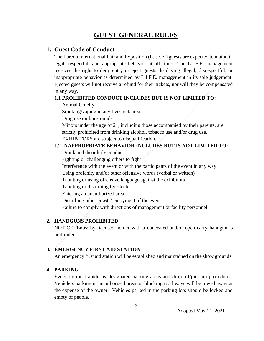## **GUEST GENERAL RULES**

#### **1. Guest Code of Conduct**

The Laredo International Fair and Exposition (L.I.F.E.) guests are expected to maintain legal, respectful, and appropriate behavior at all times. The L.I.F.E. management reserves the right to deny entry or eject guests displaying illegal, disrespectful, or inappropriate behavior as determined by L.I.F.E. management in its sole judgement. Ejected guests will not receive a refund for their tickets, nor will they be compensated in any way.

#### 1.1 **PROHIBITED CONDUCT INCLUDES BUT IS NOT LIMITED TO:**

Animal Cruelty

Smoking/vaping in any livestock area

Drug use on fairgrounds

 Minors under the age of 21, including those accompanied by their parents, are strictly prohibited from drinking alcohol, tobacco use and/or drug use.

EXHIBITORS are subject to disqualification.

#### 1.2 **INAPPROPRIATE BEHAVIOR INCLUDES BUT IS NOT LIMITED TO:**

Drunk and disorderly conduct

Fighting or challenging others to fight

Interference with the event or with the participants of the event in any way

Using profanity and/or other offensive words (verbal or written)

Taunting or using offensive language against the exhibitors

Taunting or disturbing livestock

Entering an unauthorized area

Disturbing other guests' enjoyment of the event

Failure to comply with directions of management or facility personnel

#### **2. HANDGUNS PROHIBITED**

NOTICE: Entry by licensed holder with a concealed and/or open-carry handgun is prohibited.

#### **3. EMERGENCY FIRST AID STATION**

An emergency first aid station will be established and maintained on the show grounds.

#### **4. PARKING**

Everyone must abide by designated parking areas and drop-off/pick-up procedures. Vehicle's parking in unauthorized areas or blocking road ways will be towed away at the expense of the owner. Vehicles parked in the parking lots should be locked and empty of people.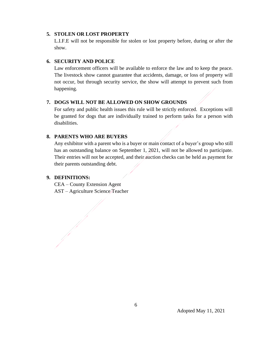#### **5. STOLEN OR LOST PROPERTY**

L.I.F.E will not be responsible for stolen or lost property before, during or after the show.

#### **6. SECURITY AND POLICE**

Law enforcement officers will be available to enforce the law and to keep the peace. The livestock show cannot guarantee that accidents, damage, or loss of property will not occur, but through security service, the show will attempt to prevent such from happening.

#### **7. DOGS WILL NOT BE ALLOWED ON SHOW GROUNDS**

For safety and public health issues this rule will be strictly enforced. Exceptions will be granted for dogs that are individually trained to perform tasks for a person with disabilities.

#### **8. PARENTS WHO ARE BUYERS**

Any exhibitor with a parent who is a buyer or main contact of a buyer's group who still has an outstanding balance on September 1, 2021, will not be allowed to participate. Their entries will not be accepted, and their auction checks can be held as payment for their parents outstanding debt.

#### **9. DEFINITIONS:**

CEA – County Extension Agent AST – Agriculture Science Teacher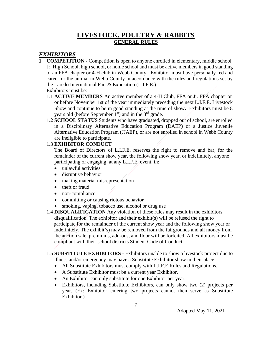## **LIVESTOCK, POULTRY & RABBITS GENERAL RULES**

### *EXHIBITORS*

- **1. COMPETITION -** Competition is open to anyone enrolled in elementary, middle school, Jr. High School, high school, or home school and must be active members in good standing of an FFA chapter or 4-H club in Webb County. Exhibitor must have personally fed and cared for the animal in Webb County in accordance with the rules and regulations set by the Laredo International Fair & Exposition (L.I.F.E.) Exhibitors must be:
	- 1.1 **ACTIVE MEMBERS** An active member of a 4-H Club, FFA or Jr. FFA chapter on or before November 1st of the year immediately preceding the next L.I.F.E. Livestock Show and continue to be in good standing at the time of show**.** Exhibitors must be 8 years old (before September  $1<sup>st</sup>$ ) and in the  $3<sup>rd</sup>$  grade.
	- 1.2 **SCHOOL STATUS** Students who have graduated, dropped out of school, are enrolled in a Disciplinary Alternative Education Program (DAEP) or a Justice Juvenile Alternative Education Program (JJAEP), or are not enrolled in school in Webb County are ineligible to participate.

#### 1.3 **EXHIBITOR CONDUCT**

The Board of Directors of L.I.F.E. reserves the right to remove and bar, for the remainder of the current show year, the following show year, or indefinitely, anyone participating or engaging, at any L.I.F.E. event, in:

- unlawful activities
- disruptive behavior
- making material misrepresentation
- theft or fraud
- non-compliance
- committing or causing riotous behavior
- smoking, vaping, tobacco use, alcohol or drug use
- 1.4 **DISQUALIFICATION** Any violation of these rules may result in the exhibitors disqualification. The exhibitor and their exhibit(s) will be refused the right to participate for the remainder of the current show year and the following show year or indefinitely. The exhibit(s) may be removed from the fairgrounds and all money from the auction sale, premiums, add-ons, and floor will be forfeited. All exhibitors must be compliant with their school districts Student Code of Conduct.

#### 1.5 **SUBSTITUTE EXHIBITORS -** Exhibitors unable to show a livestock project due to illness and/or emergency may have a Substitute Exhibitor show in their place.

- All Substitute Exhibitors must comply with L.I.F.E Rules and Regulations.
- A Substitute Exhibitor must be a current year Exhibitor.
- An Exhibitor can only substitute for one Exhibitor per year.
- Exhibitors, including Substitute Exhibitors, can only show two (2) projects per year. (Ex: Exhibitor entering two projects cannot then serve as Substitute Exhibitor.)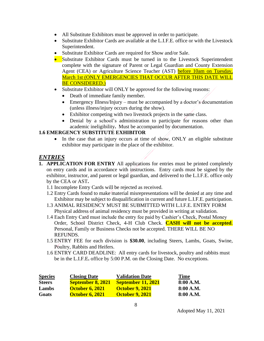- All Substitute Exhibitors must be approved in order to participate.
- Substitute Exhibitor Cards are available at the L.I.F.E. office or with the Livestock Superintendent.
- Substitute Exhibitor Cards are required for Show and/or Sale.
- Substitute Exhibitor Cards must be turned in to the Livestock Superintendent complete with the signature of Parent or Legal Guardian and County Extension Agent (CEA) or Agriculture Science Teacher (AST) before 10am on Tuesday, March 1st (ONLY EMERGENCIES THAT OCCUR AFTER THIS DATE WILL BE CONSIDERED.)
- Substitute Exhibitor will ONLY be approved for the following reasons:
	- Death of immediate family member.
	- Emergency Illness/Injury must be accompanied by a doctor's documentation (unless illness/injury occurs during the show).
	- Exhibitor competing with two livestock projects in the same class.
	- Denial by a school's administration to participate for reasons other than academic ineligibility**.** Must be accompanied by documentation.

#### **1.6 EMERGENCY SUBSTITUTE EXHIBITOR**

• In the case that an injury occurs at time of show, ONLY an eligible substitute exhibitor may participate in the place of the exhibitor.

#### *ENTRIES*

- **1. APPLICATION FOR ENTRY** All applications for entries must be printed completely on entry cards and in accordance with instructions. Entry cards must be signed by the exhibitor, instructor, and parent or legal guardian, and delivered to the L.I.F.E. office only by the CEA or AST**.** 
	- 1.1 Incomplete Entry Cards will be rejected as received.
	- 1.2 Entry Cards found to make material misrepresentations will be denied at any time and Exhibitor may be subject to disqualification in current and future L.I.F.E. participation.
	- 1.3 ANIMAL RESIDENCY MUST BE SUBMITTED WITH L.I.F.E. ENTRY FORM Physical address of animal residency must be provided in writing at validation.
	- 1.4 Each Entry Card must include the entry fee paid by Cashier's Check, Postal Money Order, School District Check, 4-H Club Check. **CASH will not be accepted**. Personal, Family or Business Checks not be accepted. THERE WILL BE NO REFUNDS.
	- 1.5 ENTRY FEE for each division is **\$30.00**, including Steers, Lambs, Goats, Swine, Poultry, Rabbits and Heifers.
	- 1.6 ENTRY CARD DEADLINE: All entry cards for livestock, poultry and rabbits must be in the L.I.F.E**.** office by 5:00 P.M. on the Closing Date. No exceptions.

| <b>Species</b> | <b>Closing Date</b>      | <b>Validation Date</b>    | <b>Time</b> |
|----------------|--------------------------|---------------------------|-------------|
| <b>Steers</b>  | <b>September 8, 2021</b> | <b>September 11, 2021</b> | 8:00 A.M.   |
| Lambs          | <b>October 6, 2021</b>   | <b>October 9, 2021</b>    | 8:00 A.M.   |
| Goats          | <b>October 6, 2021</b>   | <b>October 9, 2021</b>    | 8:00 A.M.   |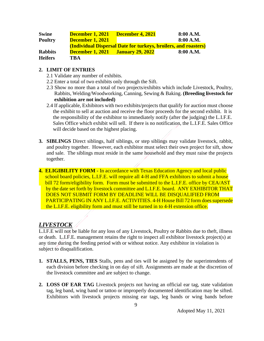| <b>Swine</b>   | <b>December 1, 2021</b>                  | December 4, 2021 | 8:00 A.M.                                                       |
|----------------|------------------------------------------|------------------|-----------------------------------------------------------------|
| <b>Poultry</b> | <b>December 1, 2021</b>                  |                  | 8:00 A.M.                                                       |
|                |                                          |                  | (Individual Dispersal Date for turkeys, broilers, and roasters) |
| <b>Rabbits</b> | <b>December 1, 2021 January 29, 2022</b> |                  | 8:00 A.M.                                                       |
| <b>Heifers</b> | TBA                                      |                  |                                                                 |

#### **2. LIMIT OF ENTRIES**

- 2.1 Validate any number of exhibits.
- 2.2 Enter a total of two exhibits only through the Sift.
- 2.3 Show no more than a total of two projects/exhibits which include Livestock, Poultry, Rabbits, Welding/Woodworking, Canning, Sewing & Baking. **(Breeding livestock for exhibition are not included)**
- 2.4 If applicable, Exhibitors with two exhibits/projects that qualify for auction must choose the exhibit to sell at auction and receive the floor proceeds for the second exhibit. It is the responsibility of the exhibitor to immediately notify (after the judging) the L.I.F.E. Sales Office which exhibit will sell. If there is no notification, the L.I.F.E. Sales Office will decide based on the highest placing.
- **3. SIBLINGS** Direct siblings, half siblings, or step siblings may validate livestock, rabbit, and poultry together. However, each exhibitor must select their own project for sift, show and sale. The siblings must reside in the same household and they must raise the projects together.
- **4. ELIGIBILITY FORM -** In accordance with Texas Education Agency and local public school board policies, L.I.F.E. will require all 4-H and FFA exhibitors to submit a house bill 72 form/eligibility form. Form must be submitted to the L.I.F.E. office by CEA/AST by the date set forth by livestock committee and L.I.F.E. board. ANY EXHIBITOR THAT DOES NOT SUBMIT FORM BY DEADLINE WILL BE DISQUALIFIED FROM PARTICIPATING IN ANY L.I.F.E. ACTIVITIES. 4-H House Bill 72 form does supersede the L.I.F.E. eligibility form and must still be turned in to 4-H extension office.

## *LIVESTOCK*

L.I.F.E will not be liable for any loss of any Livestock, Poultry or Rabbits due to theft, illness or death. L.I.F.E. management retains the right to inspect all exhibitor livestock project(s) at any time during the feeding period with or without notice. Any exhibitor in violation is subject to disqualification.

- **1. STALLS, PENS, TIES** Stalls, pens and ties will be assigned by the superintendents of each division before checking in on day of sift. Assignments are made at the discretion of the livestock committee and are subject to change.
- **2. LOSS OF EAR TAG** Livestock projects not having an official ear tag, state validation tag, leg band, wing band or tattoo or improperly documented identification may be sifted. Exhibitors with livestock projects missing ear tags, leg bands or wing bands before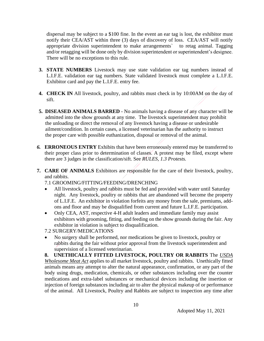dispersal may be subject to a \$100 fine. In the event an ear tag is lost, the exhibitor must notify their CEA/AST within three (3) days of discovery of loss. CEA/AST will notify appropriate division superintendent to make arrangements` to retag animal. Tagging and/or retagging will be done only by division superintendent or superintendent's designee. There will be no exceptions to this rule.

- **3. STATE NUMBERS** Livestock may use state validation ear tag numbers instead of L.I.F.E. validation ear tag numbers. State validated livestock must complete a L.I.F.E. Exhibitor card and pay the L.I.F.E. entry fee.
- **4. CHECK IN** All livestock, poultry, and rabbits must check in by 10:00AM on the day of sift.
- **5. DISEASED ANIMALS BARRED**  No animals having a disease of any character will be admitted into the show grounds at any time. The livestock superintendent may prohibit the unloading or direct the removal of any livestock having a disease or undesirable ailment/condition. In certain cases, a licensed veterinarian has the authority to instruct the proper care with possible euthanization, disposal or removal of the animal.
- *6.* **ERRONEOUS ENTRY** Exhibits that have been erroneously entered may be transferred to their proper class prior to determination of classes. A protest may be filed, except where there are 3 judges in the classification/sift. See *RULES, 1.3 Protests.*
- **7. CARE OF ANIMALS** Exhibitors are responsible for the care of their livestock, poultry, and rabbits.

7.1 GROOMING/FITTING/FEEDING/DRENCHING

- All livestock, poultry and rabbits must be fed and provided with water until Saturday night. Any livestock, poultry or rabbits that are abandoned will become the property of L.I.F.E. An exhibitor in violation forfeits any money from the sale, premiums, addons and floor and may be disqualified from current and future L.I.F.E. participation.
- Only CEA, AST, respective 4-H adult leaders and immediate family may assist exhibitors with grooming, fitting, and feeding on the show grounds during the fair. Any exhibitor in violation is subject to disqualification.

7.2 SURGERY/MEDICATIONS

• No surgery shall be performed, nor medications be given to livestock, poultry or rabbits during the fair without prior approval from the livestock superintendent and supervision of a licensed veterinarian.

**8. UNETHICALLY FITTED LIVESTOCK, POULTRY OR RABBITS** The *USDA Wholesome Meat Act* applies to all market livestock, poultry and rabbits. Unethically fitted animals means any attempt to alter the natural appearance, confirmation, or any part of the body using drugs, medication, chemicals, or other substances including over the counter medications and extra-label substances or mechanical devices including the insertion or injection of foreign substances including air to alter the physical makeup of or performance of the animal. All Livestock, Poultry and Rabbits are subject to inspection any time after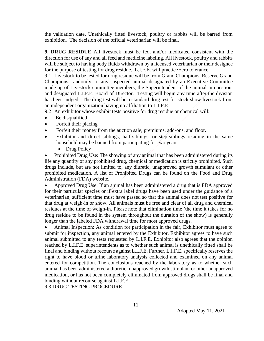the validation date. Unethically fitted livestock, poultry or rabbits will be barred from exhibition. The decision of the official veterinarian will be final.

**9. DRUG RESIDUE** All livestock must be fed, and/or medicated consistent with the direction for use of any and all feed and medicine labeling. All livestock, poultry and rabbits will be subject to having body fluids withdrawn by a licensed veterinarian or their designee for the purpose of testing for drug residue. L.I.F.E. will practice zero tolerance.

9.1 Livestock to be tested for drug residue will be from Grand Champions, Reserve Grand Champions, randomly, or any suspected animal designated by an Executive Committee made up of Livestock committee members, the Superintendent of the animal in question, and designated L.I.F.E. Board of Director. Testing will begin any time after the division has been judged. The drug test will be a standard drug test for stock show livestock from an independent organization having no affiliation to L.I.F.E.

9.2 An exhibitor whose exhibit tests positive for drug residue or chemical will:

- Be disqualified
- Forfeit their placing
- Forfeit their money from the auction sale, premiums, add-ons, and floor.
- Exhibitor and direct siblings, half-siblings, or step-siblings residing in the same household may be banned from participating for two years.
	- Drug Policy

• Prohibited Drug Use: The showing of any animal that has been administered during its life any quantity of any prohibited drug, chemical or medication is strictly prohibited. Such drugs include, but are not limited to, any diuretic, unapproved growth stimulant or other prohibited medication. A list of Prohibited Drugs can be found on the Food and Drug Administration (FDA) website.

• Approved Drug Use: If an animal has been administered a drug that is FDA approved for their particular species or if extra label drugs have been used under the guidance of a veterinarian, sufficient time must have passed so that the animal does not test positive for that drug at weigh-in or show. All animals must be free and clear of all drug and chemical residues at the time of weigh-in. Please note that elimination time (the time it takes for no drug residue to be found in the system throughout the duration of the show) is generally longer than the labeled FDA withdrawal time for most approved drugs.

• Animal Inspection: As condition for participation in the fair, Exhibitor must agree to submit for inspection, any animal entered by the Exhibitor. Exhibitor agrees to have such animal submitted to any tests requested by L.I.F.E. Exhibitor also agrees that the opinion reached by L.I.F.E. superintendents as to whether such animal is unethically fitted shall be final and binding without recourse against L.I.F.E. Further, L.I.F.E. specifically reserves the right to have blood or urine laboratory analysis collected and examined on any animal entered for competition. The conclusions reached by the laboratory as to whether such animal has been administered a diuretic, unapproved growth stimulant or other unapproved medication, or has not been completely eliminated from approved drugs shall be final and binding without recourse against L.I.F.E.

9.3 DRUG TESTING PROCEDURE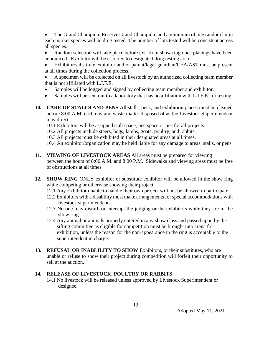• The Grand Champion, Reserve Grand Champion, and a minimum of one random lot in each market species will be drug tested. The number of lots tested will be consistent across all species.

Random selection will take place before exit from show ring once placings have been announced. Exhibitor will be escorted to designated drug testing area.

Exhibitor/substitute exhibitor and or parent/legal guardian/CEA/AST must be present at all times during the collection process.

• A specimen will be collected on all livestock by an authorized collecting team member that is not affiliated with L.I.F.E.

- Samples will be logged and signed by collecting team member and exhibitor.
- Samples will be sent out to a laboratory that has no affiliation with L.I.F.E. for testing.
- **10. CARE OF STALLS AND PENS** All stalls, pens, and exhibition places must be cleaned before 8:00 A.M. each day and waste matter disposed of as the Livestock Superintendent may direct.

10.1 Exhibitors will be assigned stall space, pen space or ties for all projects.

10.2 All projects include steers, hogs, lambs, goats, poultry, and rabbits.

10.3 All projects must be exhibited in their designated areas at all times.

10.4 An exhibitor/organization may be held liable for any damage to areas, stalls, or pens.

- **11. VIEWING OF LIVESTOCK AREAS** All areas must be prepared for viewing between the hours of 8:00 A.M. and 8:00 P.M. Sidewalks and viewing areas must be free of obstructions at all times.
- **12. SHOW RING** ONLY exhibitor or substitute exhibitor will be allowed in the show ring while competing or otherwise showing their project.
	- 12.1 Any Exhibitor unable to handle their own project will not be allowed to participate.
	- 12.2 Exhibitors with a disability must make arrangements for special accommodations with livestock superintendents.
	- 12.3 No one may disturb or interrupt the judging or the exhibitors while they are in the show ring.
	- 12.4 Any animal or animals properly entered in any show class and passed upon by the sifting committee as eligible for competition must be brought into arena for exhibition, unless the reason for the non-appearance in the ring is acceptable to the superintendent in charge.
- **13. REFUSAL OR INABLILITY TO SHOW** Exhibitors, or their substitutes, who are unable or refuse to show their project during competition will forfeit their opportunity to sell at the auction.

#### **14. RELEASE OF LIVESTOCK, POULTRY OR RABBITS**

14.1 No livestock will be released unless approved by Livestock Superintendent or designee.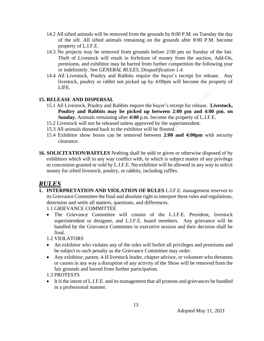- 14.2 All sifted animals will be removed from the grounds by 8:00 P.M. on Tuesday the day of the sift. All sifted animals remaining on the grounds after 8:00 P.M. become property of L.I.F.E.
- 14.3 No projects may be removed from grounds before 2:00 pm on Sunday of the fair. Theft of Livestock will result in forfeiture of money from the auction, Add-On, premiums, and exhibitor may be barred from further competition the following year or indefinitely. See *GENERAL RULES, Disqualification 1.4.*
- 14.4 All Livestock, Poultry and Rabbits require the buyer's receipt for release. Any livestock, poultry or rabbit not picked up by 4:00pm will become the property of LIFE.

#### **15. RELEASE AND DISPERSAL**

- 15.1 All Livestock, Poultry and Rabbits require the buyer's receipt for release. **Livestock, Poultry and Rabbits may be picked up between 2:00 pm and 4:00 pm. on Sunday.** Animals remaining after **4:00** p.m. become the property of L.I.F.E.
- 15.2 Livestock will not be released unless approved by the superintendent.
- 15.3 All animals donated back to the exhibitor will be floored.
- 15.4 Exhibitor show boxes can be removed between **2:00 and 4:00pm** with security clearance.
- **16. SOLICITATION/RAFFLES** Nothing shall be sold or given or otherwise disposed of by exhibitors which will in any way conflict with, or which is subject matter of any privilege or concession granted or sold by L.I.F.E. No exhibitor will be allowed in any way to solicit money for sifted livestock, poultry, or rabbits, including raffles.

## *RULES*

**1. INTERPRETATION AND VIOLATION OF RULES** L.I.F.E. management reserves to its Grievance Committee the final and absolute right to interpret these rules and regulations, determine and settle all matters, questions, and differences.

1.1 GRIEVANCE COMMITTEE

• The Grievance Committee will consist of the L.I.F.E. President, livestock superintendent or designee, and L.I.F.E. board members. Any grievance will be handled by the Grievance Committee in executive session and their decision shall be final.

1.2 VIOLATORS

- An exhibitor who violates any of the rules will forfeit all privileges and premiums and be subject to such penalty as the Grievance Committee may order.
- Any exhibitor, parent, 4-H livestock leader, chapter advisor, or volunteer who threatens or causes in any way a disruption of any activity of the Show will be removed from the fair grounds and barred from further participation.
- 1.3 PROTESTS
- It is the intent of L.I.F.E. and its management that all protests and grievances be handled in a professional manner.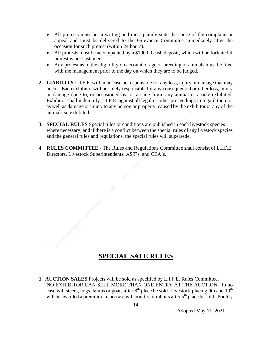- All protests must be in writing and must plainly state the cause of the complaint or appeal and must be delivered to the Grievance Committee immediately after the occasion for such protest (within 24 hours).
- All protests must be accompanied by a \$100.00 cash deposit, which will be forfeited if protest is not sustained.
- Any protest as to the eligibility on account of age or breeding of animals must be filed with the management prior to the day on which they are to be judged.
- **2. LIABILITY** L.I.F.E. will in no case be responsible for any loss, injury or damage that may occur. Each exhibitor will be solely responsible for any consequential or other loss, injury or damage done to, or occasioned by, or arising from, any animal or article exhibited. Exhibitor shall indemnify L.I.F.E. against all legal or other proceedings in regard thereto, as well as damage or injury to any person or property, caused by the exhibitor or any of the animals so exhibited.
- **3. SPECIAL RULES** Special rules or conditions are published in each livestock species where necessary, and if there is a conflict between the special rules of any livestock species and the general rules and regulations, the special rules will supersede.
- **4**. **RULES COMMITTEE** The Rules and Regulations Committee shall consist of L.I.F.E. Directors, Livestock Superintendents, AST's, and CEA's.

## **SPECIAL SALE RULES**

**1. AUCTION SALES** Projects will be sold as specified by L.I.F.E. Rules Committee, NO EXHIBITOR CAN SELL MORE THAN ONE ENTRY AT THE AUCTION.In no case will steers, hogs, lambs or goats after 8<sup>th</sup> place be sold. Livestock placing 9th and 10<sup>th</sup> will be awarded a premium. In no case will poultry or rabbits after 5<sup>th</sup> place be sold. Poultry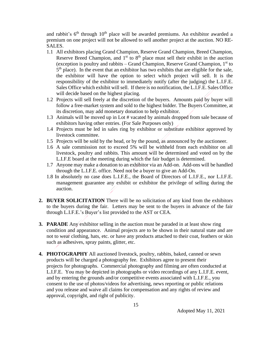and rabbit's  $6<sup>th</sup>$  through  $10<sup>th</sup>$  place will be awarded premiums. An exhibitor awarded a premium on one project will not be allowed to sell another project at the auction. NO RE-SALES.

- 1.1 All exhibitors placing Grand Champion, Reserve Grand Champion, Breed Champion, Reserve Breed Champion, and  $1<sup>st</sup>$  to  $8<sup>th</sup>$  place must sell their exhibit in the auction (exception is poultry and rabbits – Grand Champion, Reserve Grand Champion,  $1<sup>st</sup>$  to  $5<sup>th</sup>$  place). In the event that an exhibitor has two exhibits that are eligible for the sale, the exhibitor will have the option to select which project will sell. It is the responsibility of the exhibitor to immediately notify (after the judging) the L.I.F.E. Sales Office which exhibit will sell. If there is no notification, the L.I.F.E. Sales Office will decide based on the highest placing.
- 1.2 Projects will sell freely at the discretion of the buyers. Amounts paid by buyer will follow a free-market system and sold to the highest bidder. The Buyers Committee, at its discretion, may add monetary donation to help exhibitor.
- 1.3 Animals will be moved up in Lot # vacated by animals dropped from sale because of exhibitors having other entries. (For Sale Purposes only)
- 1.4 Projects must be led in sales ring by exhibitor or substitute exhibitor approved by livestock committee.
- 1.5 Projects will be sold by the head, or by the pound, as announced by the auctioneer.
- 1.6 A sale commission not to exceed 5% will be withheld from each exhibitor on all livestock, poultry and rabbits. This amount will be determined and voted on by the L.I.F.E board at the meeting during which the fair budget is determined.
- 1.7 Anyone may make a donation to an exhibitor via an Add-on. Add-ons will be handled through the L.I.F.E. office. Need not be a buyer to give an Add-On.
- 1.8 In absolutely no case does L.I.F.E., the Board of Directors of L.I.F.E., nor L.I.F.E. management guarantee any exhibit or exhibitor the privilege of selling during the auction.
- **2. BUYER SOLICITATION** There will be no solicitation of any kind from the exhibitors to the buyers during the fair. Letters may be sent to the buyers in advance of the fair through L.I.F.E.'s Buyer's list provided to the AST or CEA.
- **3. PARADE** Any exhibitor selling in the auction must be paraded in at least show ring condition and appearance. Animal projects are to be shown in their natural state and are not to wear clothing, hats, etc. or have any products attached to their coat, feathers or skin such as adhesives, spray paints, glitter, etc.
- **4. PHOTOGRAPHY** All auctioned livestock, poultry, rabbits, baked, canned or sewn products will be charged a photography fee. Exhibitors agree to present their projects for photographs. Commercial photography and filming are often conducted at L.I.F.E. You may be depicted in photographs or video recordings of any L.I.F.E. event, and by entering the grounds and/or competitive events associated with L.I.F.E., you consent to the use of photos/videos for advertising, news reporting or public relations and you release and waive all claims for compensation and any rights of review and approval, copyright, and right of publicity.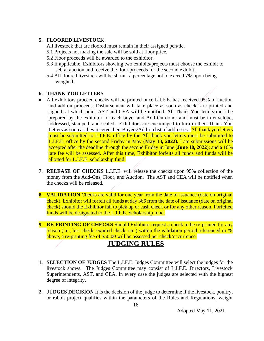#### **5. FLOORED LIVESTOCK**

- All livestock that are floored must remain in their assigned pen/tie.
- 5.1 Projects not making the sale will be sold at floor price.
- 5.2 Floor proceeds will be awarded to the exhibitor.
- 5.3 If applicable, Exhibitors showing two exhibits/projects must choose the exhibit to sell at auction and receive the floor proceeds for the second exhibit.
- 5.4 All floored livestock will be shrunk a percentage not to exceed 7% upon being weighed.

#### **6. THANK YOU LETTERS**

- All exhibitors proceed checks will be printed once L.I.F.E. has received 95% of auction and add-on proceeds. Disbursement will take place as soon as checks are printed and signed; at which point AST and CEA will be notified. All Thank You letters must be prepared by the exhibitor for each buyer and Add-On donor and must be in envelope, addressed, stamped, and sealed. Exhibitors are encouraged to turn in their Thank You Letters as soon as they receive their Buyers/Add-on list of addresses. All thank you letters must be submitted to L.I.F.E. office by the All thank you letters must be submitted to L.I.F.E. office by the second Friday in May (**May 13, 2022).** Late submissions will be accepted after the deadline through the second Friday in June (**June 10, 2022**); and a 10% late fee will be assessed. After this time, Exhibitor forfeits all funds and funds will be allotted for L.I.F.E. scholarship fund.
- **7. RELEASE OF CHECKS** L.I.F.E. will release the checks upon 95% collection of the money from the Add-Ons, Floor, and Auction. The AST and CEA will be notified when the checks will be released.
- **8. VALIDATION** Checks are valid for one year from the date of issuance (date on original check). Exhibitor will forfeit all funds at day 366 from the date of issuance (date on original check) should the Exhibitor fail to pick up or cash check or for any other reason. Forfeited funds will be designated to the L.I.F.E. Scholarship fund.
- **9. RE-PRINTING OF CHECKS** Should Exhibitor request a check to be re-printed for any reason (i.e., lost check, expired check, etc.) within the validation period referenced in #8 above, a re-printing fee of \$50.00 will be assessed per check/occurrence.

## **JUDGING RULES**

- **1. SELECTION OF JUDGES** The L.I.F.E. Judges Committee will select the judges for the livestock shows. The Judges Committee may consist of L.I.F.E. Directors, Livestock Superintendents, AST, and CEA. In every case the judges are selected with the highest degree of integrity.
- **2. JUDGES DECISION** It is the decision of the judge to determine if the livestock, poultry, or rabbit project qualifies within the parameters of the Rules and Regulations, weight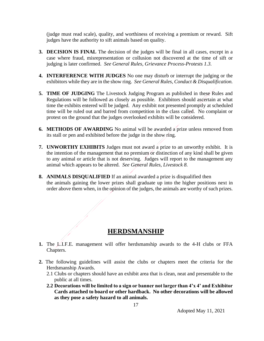(judge must read scale), quality, and worthiness of receiving a premium or reward. Sift judges have the authority to sift animals based on quality.

- **3. DECISION IS FINAL** The decision of the judges will be final in all cases, except in a case where fraud, misrepresentation or collusion not discovered at the time of sift or judging is later confirmed. *See General Rules, Grievance Process-Protests 1.3.*
- **4. INTERFERENCE WITH JUDGES** No one may disturb or interrupt the judging or the exhibitors while they are in the show ring. *See General Rules, Conduct & Disqualification.*
- **5. TIME OF JUDGING** The Livestock Judging Program as published in these Rules and Regulations will be followed as closely as possible. Exhibitors should ascertain at what time the exhibits entered will be judged. Any exhibit not presented promptly at scheduled time will be ruled out and barred from competition in the class called. No complaint or protest on the ground that the judges overlooked exhibits will be considered.
- **6. METHODS OF AWARDING** No animal will be awarded a prize unless removed from its stall or pen and exhibited before the judge in the show ring.
- **7. UNWORTHY EXHIBITS** Judges must not award a prize to an unworthy exhibit. It is the intention of the management that no premium or distinction of any kind shall be given to any animal or article that is not deserving. Judges will report to the management any animal which appears to be altered. *See General Rules, Livestock 8.*
- **8. ANIMALS DISQUALIFIED** If an animal awarded a prize is disqualified then the animals gaining the lower prizes shall graduate up into the higher positions next in order above them when, in the opinion of the judges, the animals are worthy of such prizes.

## **HERDSMANSHIP**

- **1.** The L.I.F.E. management will offer herdsmanship awards to the 4-H clubs or FFA Chapters.
- **2.** The following guidelines will assist the clubs or chapters meet the criteria for the Herdsmanship Awards.
	- 2.1 Clubs or chapters should have an exhibit area that is clean, neat and presentable to the public at all times.
	- **2.2 Decorations will be limited to a sign or banner not larger than 4'x 4' and Exhibitor Cards attached to board or other hardback. No other decorations will be allowed as they pose a safety hazard to all animals.**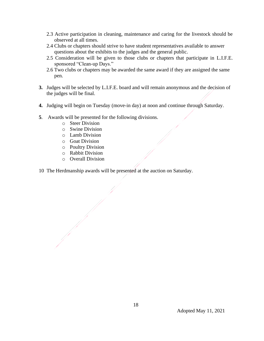- 2.3 Active participation in cleaning, maintenance and caring for the livestock should be observed at all times.
- 2.4 Clubs or chapters should strive to have student representatives available to answer questions about the exhibits to the judges and the general public.
- 2.5 Consideration will be given to those clubs or chapters that participate in L.I.F.E. sponsored "Clean-up Days."
- 2.6 Two clubs or chapters may be awarded the same award if they are assigned the same pen.
- **3.** Judges will be selected by L.I.F.E. board and will remain anonymous and the decision of the judges will be final.
- **4.** Judging will begin on Tuesday (move-in day) at noon and continue through Saturday.
- **5**. Awards will be presented for the following divisions.
	- o Steer Division
	- o Swine Division
	- o Lamb Division
	- o Goat Division
	- o Poultry Division
	- o Rabbit Division
	- o Overall Division
- 10 The Herdmanship awards will be presented at the auction on Saturday.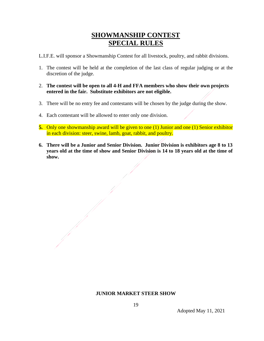## **SHOWMANSHIP CONTEST SPECIAL RULES**

L.I.F.E. will sponsor a Showmanship Contest for all livestock, poultry, and rabbit divisions.

- 1. The contest will be held at the completion of the last class of regular judging or at the discretion of the judge.
- 2. **The contest will be open to all 4-H and FFA members who show their own projects entered in the fair. Substitute exhibitors are not eligible.**
- 3. There will be no entry fee and contestants will be chosen by the judge during the show.
- 4. Each contestant will be allowed to enter only one division.
- **5.** Only one showmanship award will be given to one (1) Junior and one (1) Senior exhibitor in each division: steer, swine, lamb, goat, rabbit, and poultry.
- **6. There will be a Junior and Senior Division. Junior Division is exhibitors age 8 to 13 years old at the time of show and Senior Division is 14 to 18 years old at the time of show.**

#### **JUNIOR MARKET STEER SHOW**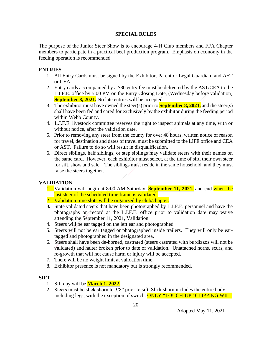#### **SPECIAL RULES**

The purpose of the Junior Steer Show is to encourage 4-H Club members and FFA Chapter members to participate in a practical beef production program. Emphasis on economy in the feeding operation is recommended.

#### **ENTRIES**

- 1. All Entry Cards must be signed by the Exhibitor, Parent or Legal Guardian, and AST or CEA.
- 2. Entry cards accompanied by a \$30 entry fee must be delivered by the AST/CEA to the L.I.F.E. office by 5:00 PM on the Entry Closing Date, (Wednesday before validation) **September 8, 2021.** No late entries will be accepted.
- 3. The exhibitor must have owned the steer(s) prior to **September 8, 2021,** and the steer(s) shall have been fed and cared for exclusively by the exhibitor during the feeding period within Webb County.
- 4. L.I.F.E. livestock committee reserves the right to inspect animals at any time, with or without notice, after the validation date.
- 5. Prior to removing any steer from the county for over 48 hours, written notice of reason for travel, destination and dates of travel must be submitted to the LIFE office and CEA or AST. Failure to do so will result in disqualification.
- 6. Direct siblings, half siblings, or step siblings may validate steers with their names on the same card. However, each exhibitor must select, at the time of sift, their own steer for sift, show and sale. The siblings must reside in the same household, and they must raise the steers together.

#### **VALIDATION**

- 1. Validation will begin at 8:00 AM Saturday, **September 11, 2021,** and end when the last steer of the scheduled time frame is validated.
- 2. Validation time slots will be organized by club/chapter.
- 3**.** State validated steers that have been photographed by L.I.F.E. personnel and have the photographs on record at the L.I.F.E. office prior to validation date may waive attending the September 11, 2021, Validation.
- 4. Steers will be ear tagged on the left ear and photographed.
- 5. Steers will not be ear tagged or photographed inside trailers. They will only be eartagged and photographed in the designated area.
- 6. Steers shall have been de-horned, castrated (steers castrated with burdizzos will not be validated) and halter broken prior to date of validation. Unattached horns, scurs, and re-growth that will not cause harm or injury will be accepted.
- 7. There will be no weight limit at validation time.
- 8. Exhibitor presence is not mandatory but is strongly recommended.

#### **SIFT**

- 1. Sift day will be **March 1, 2022.**
- 2. Steers must be slick shorn to 3/8" prior to sift. Slick shorn includes the entire body, including legs, with the exception of switch. **ONLY "TOUCH-UP" CLIPPING WILL**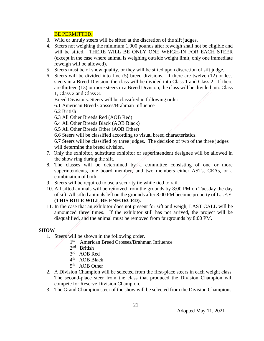#### BE PERMITTED.

- 3. Wild or unruly steers will be sifted at the discretion of the sift judges.
- 4. Steers not weighing the minimum 1,000 pounds after reweigh shall not be eligible and will be sifted. THERE WILL BE ONLY ONE WEIGH-IN FOR EACH STEER (except in the case where animal is weighing outside weight limit, only one immediate reweigh will be allowed)**.**
- 5. Steers must be of show quality, or they will be sifted upon discretion of sift judge.
- 6. Steers will be divided into five (5) breed divisions. If there are twelve (12) or less steers in a Breed Division, the class will be divided into Class 1 and Class 2. If there are thirteen (13) or more steers in a Breed Division, the class will be divided into Class 1, Class 2 and Class 3.

Breed Divisions. Steers will be classified in following order.

6.1 American Breed Crosses/Brahman Influence

6.2 British

- 6.3 All Other Breeds Red (AOB Red)
- 6.4 All Other Breeds Black (AOB Black)
- 6.5 All Other Breeds Other (AOB Other)
- 6.6 Steers will be classified according to visual breed characteristics.

6.7 Steers will be classified by three judges. The decision of two of the three judges will determine the breed division.

- 7. Only the exhibitor, substitute exhibitor or superintendent designee will be allowed in the show ring during the sift.
- 8. The classes will be determined by  $/a$  committee consisting of one or more superintendents, one board member, and two members either ASTs, CEAs, or a combination of both.
- 9. Steers will be required to use a security tie while tied to rail.
- 10. All sifted animals will be removed from the grounds by 8:00 PM on Tuesday the day of sift. All sifted animals left on the grounds after 8:00 PM become property of L.I.F.E. **(THIS RULE WILL BE ENFORCED).**
- 11. In the case that an exhibitor does not present for sift and weigh, LAST CALL will be announced three times. If the exhibitor still has not arrived, the project will be disqualified, and the animal must be removed from fairgrounds by 8:00 PM.

#### **SHOW**

- 1. Steers will be shown in the following order.
	- 1 st American Breed Crosses/Brahman Influence
	- 2<sup>nd</sup> British
	- 3<sup>rd</sup> AOB Red
	- 4<sup>th</sup> AOB Black
	- 5<sup>th</sup> AOB Other
- 2. A Division Champion will be selected from the first-place steers in each weight class. The second-place steer from the class that produced the Division Champion will compete for Reserve Division Champion.
- 3. The Grand Champion steer of the show will be selected from the Division Champions.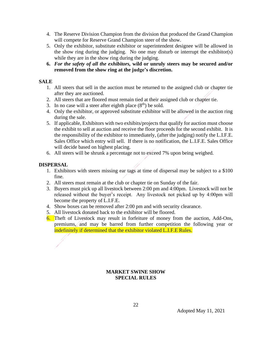- 4. The Reserve Division Champion from the division that produced the Grand Champion will compete for Reserve Grand Champion steer of the show.
- 5. Only the exhibitor, substitute exhibitor or superintendent designee will be allowed in the show ring during the judging. No one may disturb or interrupt the exhibitor(s) while they are in the show ring during the judging.
- **6.** *For the safety of all the exhibitors,* **wild or unruly steers may be secured and/or removed from the show ring at the judge's discretion.**

#### **SALE**

- 1. All steers that sell in the auction must be returned to the assigned club or chapter tie after they are auctioned.
- 2. All steers that are floored must remain tied at their assigned club or chapter tie.
- 3. In no case will a steer after eighth place  $(8<sup>th</sup>)$  be sold.
- 4. Only the exhibitor, or approved substitute exhibitor will be allowed in the auction ring during the sale.
- 5. If applicable, Exhibitors with two exhibits/projects that qualify for auction must choose the exhibit to sell at auction and receive the floor proceeds for the second exhibit. It is the responsibility of the exhibitor to immediately, (after the judging) notify the L.I.F.E. Sales Office which entry will sell. If there is no notification, the L.I.F.E. Sales Office will decide based on highest placing.
- 6. All steers will be shrunk a percentage not to exceed 7% upon being weighed.

#### **DISPERSAL**

- 1. Exhibitors with steers missing ear tags at time of dispersal may be subject to a \$100 fine.
- 2. All steers must remain at the club or chapter tie on Sunday of the fair.
- 3. Buyers must pick up all livestock between 2:00 pm and 4:00pm. Livestock will not be released without the buyer's receipt. Any livestock not picked up by 4:00pm will become the property of L.I.F.E.
- 4. Show boxes can be removed after 2:00 pm and with security clearance.
- 5. All livestock donated back to the exhibitor will be floored.
- 6. Theft of Livestock may result in forfeiture of money from the auction, Add-Ons, premiums, and may be barred from further competition the following year or indefinitely if determined that the exhibitor violated L.I.F.E Rules.

#### **MARKET SWINE SHOW SPECIAL RULES**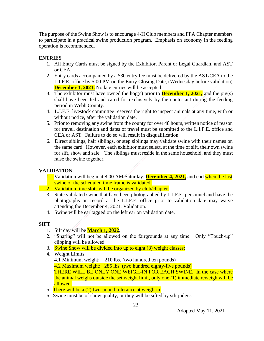The purpose of the Swine Show is to encourage 4-H Club members and FFA Chapter members to participate in a practical swine production program. Emphasis on economy in the feeding operation is recommended.

#### **ENTRIES**

- 1. All Entry Cards must be signed by the Exhibitor, Parent or Legal Guardian, and AST or CEA.
- 2. Entry cards accompanied by a \$30 entry fee must be delivered by the AST/CEA to the L.I.F.E. office by 5:00 PM on the Entry Closing Date, (Wednesday before validation) **December 1, 2021.** No late entries will be accepted.
- 3. The exhibitor must have owned the hog(s) prior to **December 1, 2021,** and the pig(s) shall have been fed and cared for exclusively by the contestant during the feeding period in Webb County.
- 4. L.I.F.E. livestock committee reserves the right to inspect animals at any time, with or without notice, after the validation date.
- 5. Prior to removing any swine from the county for over 48 hours, written notice of reason for travel, destination and dates of travel must be submitted to the L.I.F.E. office and CEA or AST. Failure to do so will result in disqualification.
- 6. Direct siblings, half siblings, or step siblings may validate swine with their names on the same card. However, each exhibitor must select, at the time of sift, their own swine for sift, show and sale. The siblings must reside in the same household, and they must raise the swine together.

#### **VALIDATION**

- 1. Validation will begin at 8:00 AM Saturday, **December 4, 2021,** and end when the last swine of the scheduled time frame is validated.
- 2. Validation time slots will be organized by club/chapter.
- 3. State validated swine that have been photographed by L.I.F.E. personnel and have the photographs on record at the L.I.F.E. office prior to validation date may waive attending the December 4, 2021, Validation.
- 4. Swine will be ear tagged on the left ear on validation date.

#### **SIFT**

- 1. Sift day will be **March 1, 2022.**
- 2. "Snaring" will not be allowed on the fairgrounds at any time. Only "Touch-up" clipping will be allowed.
- 3. Swine Show will be divided into up to eight (8) weight classes:
- 4. Weight Limits
	- 4.1 Minimum weight: 210 lbs. (two hundred ten pounds)

4.2 Maximum weight: 285 lbs. (two hundred eighty-five pounds)

THERE WILL BE ONLY ONE WEIGH-IN FOR EACH SWINE. In the case where the animal weighs outside the set weight limit, only one (1) immediate reweigh will be allowed.

- 5. There will be a (2) two-pound tolerance at weigh-in.
- 6. Swine must be of show quality, or they will be sifted by sift judges.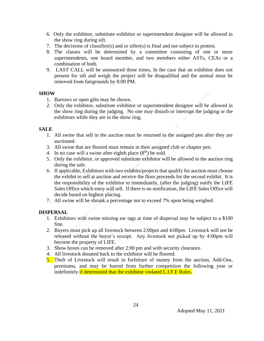- 6. Only the exhibitor, substitute exhibitor or superintendent designee will be allowed in the show ring during sift.
- 7. The decisions of classifier(s) and or sifter(s) is final and not subject to protest.
- 8. The classes will be determined by a committee consisting of one or more superintendents, one board member, and two members either ASTs, CEAs or a combination of both.
- 9. LAST CALL will be announced three times, In the case that an exhibitor does not present for sift and weigh the project will be disqualified and the animal must be removed from fairgrounds by 8:00 PM.

#### **SHOW**

- 1. Barrows or open gilts may be shown.
- 2. Only the exhibitor, substitute exhibitor or superintendent designee will be allowed in the show ring during the judging. No one may disturb or interrupt the judging or the exhibitors while they are in the show ring.

#### **SALE**

- 1. All swine that sell in the auction must be returned to the assigned pen after they are auctioned.
- 3. All swine that are floored must remain in their assigned club or chapter pen.
- 4. In no case will a swine after eighth place  $(8<sup>th</sup>)$  be sold.
- 5. Only the exhibitor, or approved substitute exhibitor will be allowed in the auction ring during the sale.
- 6. If applicable, Exhibitors with two exhibits/projects that qualify for auction must choose the exhibit to sell at auction and receive the floor proceeds for the second exhibit. It is the responsibility of the exhibitor to immediately, (after the judging) notify the LIFE Sales Office which entry will sell. If there is no notification, the LIFE Sales Office will decide based on highest placing.
- 7. All swine will be shrunk a percentage not to exceed 7% upon being weighed.

#### **DISPERSAL**

- 1. Exhibitors with swine missing ear tags at time of dispersal may be subject to a \$100 fine.
- 2. Buyers must pick up all livestock between 2:00pm and 4:00pm. Livestock will not be released without the buyer's receipt. Any livestock not picked up by 4:00pm will become the property of LIFE.
- 3. Show boxes can be removed after 2:00 pm and with security clearance.
- 4. All livestock donated back to the exhibitor will be floored.
- 5. Theft of Livestock will result in forfeiture of money from the auction, Add-Ons, premiums, and may be barred from further competition the following year or indefinitely if determined that the exhibitor violated L.I.F.E Rules.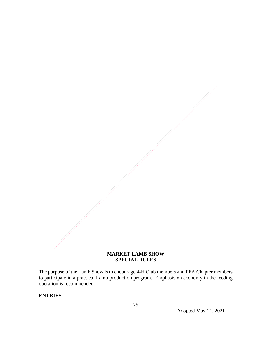#### **MARKET LAMB SHOW SPECIAL RULES**

The purpose of the Lamb Show is to encourage 4-H Club members and FFA Chapter members to participate in a practical Lamb production program. Emphasis on economy in the feeding operation is recommended.

#### **ENTRIES**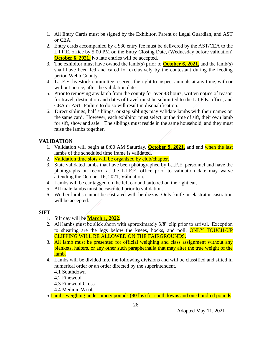- 1. All Entry Cards must be signed by the Exhibitor, Parent or Legal Guardian, and AST or CEA.
- 2. Entry cards accompanied by a \$30 entry fee must be delivered by the AST/CEA to the L.I.F.E. office by 5:00 PM on the Entry Closing Date, (Wednesday before validation) **October 6, 2021.** No late entries will be accepted.
- 3. The exhibitor must have owned the lamb(s) prior to **October 6, 2021,** and the lamb(s) shall have been fed and cared for exclusively by the contestant during the feeding period Webb County.
- 4. L.I.F.E. livestock committee reserves the right to inspect animals at any time, with or without notice, after the validation date.
- 5. Prior to removing any lamb from the county for over 48 hours, written notice of reason for travel, destination and dates of travel must be submitted to the L.I.F.E. office, and CEA or AST. Failure to do so will result in disqualification.
- 6. Direct siblings, half siblings, or step siblings may validate lambs with their names on the same card. However, each exhibitor must select, at the time of sift, their own lamb for sift, show and sale. The siblings must reside in the same household, and they must raise the lambs together.

#### **VALIDATION**

- 1. Validation will begin at 8:00 AM Saturday, **October 9, 2021,** and end when the last lambs of the scheduled time frame is validated.
- 2. Validation time slots will be organized by club/chapter.
- 3. State validated lambs that have been photographed by L.I.F.E. personnel and have the photographs on record at the L.I.F.E. office prior to validation date may waive attending the October 16, 2021, Validation.
- 4. Lambs will be ear tagged on the left ear and tattooed on the right ear.
- 5. All male lambs must be castrated prior to validation.
- 6. Wether lambs cannot be castrated with berdizzos. Only knife or elastrator castration will be accepted.

#### **SIFT**

- 1. Sift day will be **March 1, 2022.**
- 2. All lambs must be slick shorn with approximately 3/8" clip prior to arrival. Exception to shearing are the legs below the knees, hocks, and poll. **ONLY TOUCH-UP** CLIPPING WILL BE ALLOWED ON THE FAIRGROUNDS.
- 3. All lamb must be presented for official weighing and class assignment without any blankets, halters, or any other such paraphernalia that may alter the true weight of the lamb.
- 4. Lambs will be divided into the following divisions and will be classified and sifted in numerical order or an order directed by the superintendent.
	- 4.1 Southdown
	- 4.2 Finewool
	- 4.3 Finewool Cross
	- 4.4 Medium Wool

5. Lambs weighing under ninety pounds (90 lbs) for southdowns and one hundred pounds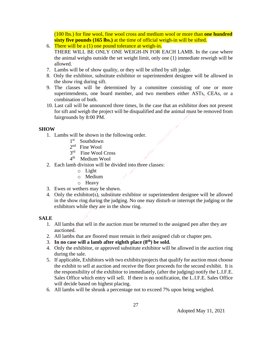(100 lbs.) for fine wool, fine wool cross and medium wool or more than **one hundred sixty five pounds (165 lbs.)** at the time of official weigh-in will be sifted.

- 6. There will be a  $(1)$  one pound tolerance at weigh-in. THERE WILL BE ONLY ONE WEIGH-IN FOR EACH LAMB. In the case where the animal weighs outside the set weight limit, only one (1) immediate reweigh will be allowed.
- 7. Lambs will be of show quality, or they will be sifted by sift judge.
- 8. Only the exhibitor, substitute exhibitor or superintendent designee will be allowed in the show ring during sift.
- 9. The classes will be determined by a committee consisting of one or more superintendents, one board member, and two members either ASTs, CEAs, or a combination of both.
- 10. Last call will be announced three times, In the case that an exhibitor does not present for sift and weigh the project will be disqualified and the animal must be removed from fairgrounds by 8:00 PM.

#### **SHOW**

- 1. Lambs will be shown in the following order.
	- 1<sup>st</sup> Southdown
	- 2<sup>nd</sup> Fine Wool
	- 3<sup>rd</sup> Fine Wool Cross
	- 4<sup>th</sup> Medium Wool
- 2. Each lamb division will be divided into three classes:
	- o Light
	- o Medium
	- o Heavy
- 3. Ewes or wethers may be shown.
- 4. Only the exhibitor(s), substitute exhibitor or superintendent designee will be allowed in the show ring during the judging. No one may disturb or interrupt the judging or the exhibitors while they are in the show ring.

#### **SALE**

- 1. All lambs that sell in the auction must be returned to the assigned pen after they are auctioned.
- 2. All lambs that are floored must remain in their assigned club or chapter pen.
- 3. **In no case will a lamb after eighth place (8th) be sold.**
- 4. Only the exhibitor, or approved substitute exhibitor will be allowed in the auction ring during the sale.
- 5. If applicable, Exhibitors with two exhibits/projects that qualify for auction must choose the exhibit to sell at auction and receive the floor proceeds for the second exhibit. It is the responsibility of the exhibitor to immediately, (after the judging) notify the L.I.F.E. Sales Office which entry will sell. If there is no notification, the L.I.F.E. Sales Office will decide based on highest placing.
- 6. All lambs will be shrunk a percentage not to exceed 7% upon being weighed.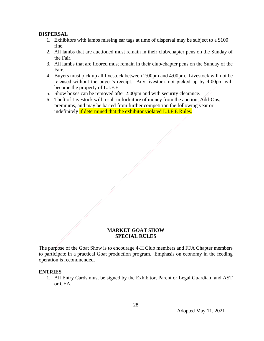#### **DISPERSAL**

- 1. Exhibitors with lambs missing ear tags at time of dispersal may be subject to a \$100 fine.
- 2. All lambs that are auctioned must remain in their club/chapter pens on the Sunday of the Fair.
- 3. All lambs that are floored must remain in their club/chapter pens on the Sunday of the Fair.
- 4. Buyers must pick up all livestock between 2:00pm and 4:00pm. Livestock will not be released without the buyer's receipt. Any livestock not picked up by 4:00pm will become the property of L.I.F.E.
- 5. Show boxes can be removed after 2:00pm and with security clearance.
- 6. Theft of Livestock will result in forfeiture of money from the auction, Add-Ons, premiums, and may be barred from further competition the following year or indefinitely if determined that the exhibitor violated L.I.F.E Rules.

#### **MARKET GOAT SHOW SPECIAL RULES**

The purpose of the Goat Show is to encourage 4-H Club members and FFA Chapter members to participate in a practical Goat production program. Emphasis on economy in the feeding operation is recommended.

#### **ENTRIES**

1. All Entry Cards must be signed by the Exhibitor, Parent or Legal Guardian, and AST or CEA.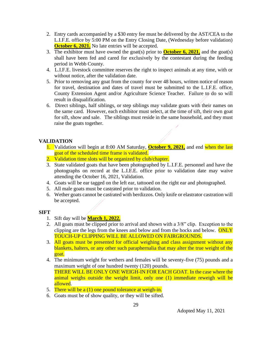- 2. Entry cards accompanied by a \$30 entry fee must be delivered by the AST/CEA to the L.I.F.E. office by 5:00 PM on the Entry Closing Date, (Wednesday before validation) **October 6, 2021.** No late entries will be accepted.
- 3. The exhibitor must have owned the goat(s) prior to **October 6, 2021,** and the goat(s) shall have been fed and cared for exclusively by the contestant during the feeding period in Webb County.
- 4. L.I.F.E. livestock committee reserves the right to inspect animals at any time, with or without notice, after the validation date.
- 5. Prior to removing any goat from the county for over 48 hours, written notice of reason for travel, destination and dates of travel must be submitted to the L.I.F.E. office, County Extension Agent and/or Agriculture Science Teacher. Failure to do so will result in disqualification.
- 6. Direct siblings, half siblings, or step siblings may validate goats with their names on the same card. However, each exhibitor must select, at the time of sift, their own goat for sift, show and sale. The siblings must reside in the same household, and they must raise the goats together.

#### **VALIDATION**

- 1. Validation will begin at 8:00 AM Saturday, **October 9, 2021,** and end when the last goat of the scheduled time frame is validated.
- 2. Validation time slots will be organized by club/chapter.
- 3. State validated goats that have been photographed by L.I.F.E. personnel and have the photographs on record at the L.I.F.E. office prior to validation date may waive attending the October 16, 2021, Validation.
- 4. Goats will be ear tagged on the left ear, tattooed on the right ear and photographed.
- 5. All male goats must be castrated prior to validation.
- 6. Wether goats cannot be castrated with berdizzos. Only knife or elastrator castration will be accepted.

#### **SIFT**

- 1. Sift day will be **March 1, 2022.**
- 2. All goats must be clipped prior to arrival and shown with a 3/8" clip. Exception to the clipping are the legs from the knees and below and from the hocks and below. ONLY TOUCH-UP CLIPPING WILL BE ALLOWED ON FAIRGROUNDS.
- 3. All goats must be presented for official weighing and class assignment without any blankets, halters, or any other such paraphernalia that may alter the true weight of the goat.
- 4. The minimum weight for wethers and females will be seventy-five (75) pounds and a maximum weight of one hundred twenty (120) pounds. THERE WILL BE ONLY ONE WEIGH-IN FOR EACH GOAT. In the case where the animal weighs outside the weight limit, only one (1) immediate reweigh will be allowed.
- 5. There will be a (1) one pound tolerance at weigh-in.
- 6. Goats must be of show quality, or they will be sifted.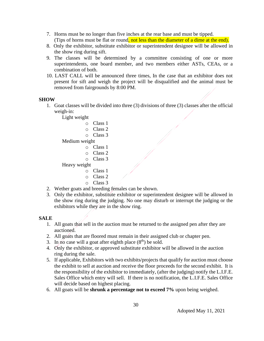- 7. Horns must be no longer than five inches at the rear base and must be tipped. (Tips of horns must be flat or round, not less than the diameter of a dime at the end).
- 8. Only the exhibitor, substitute exhibitor or superintendent designee will be allowed in the show ring during sift.
- 9. The classes will be determined by a committee consisting of one or more superintendents, one board member, and two members either ASTs, CEAs, or a combination of both.
- 10. LAST CALL will be announced three times, In the case that an exhibitor does not present for sift and weigh the project will be disqualified and the animal must be removed from fairgrounds by 8:00 PM.

#### **SHOW**

1. Goat classes will be divided into three (3) divisions of three (3) classes after the official weigh-in:

Light weight

- o Class 1
- o Class 2
- o Class 3

Medium weight

- o Class 1
- o Class 2
- o Class 3

Heavy weight

- o Class 1
- o Class 2
- o Class 3
- 2. Wether goats and breeding females can be shown.
- 3. Only the exhibitor, substitute exhibitor or superintendent designee will be allowed in the show ring during the judging. No one may disturb or interrupt the judging or the exhibitors while they are in the show ring.

#### **SALE**

- 1. All goats that sell in the auction must be returned to the assigned pen after they are auctioned.
- 2. All goats that are floored must remain in their assigned club or chapter pen.
- 3. In no case will a goat after eighth place  $(8<sup>th</sup>)$  be sold.
- 4. Only the exhibitor, or approved substitute exhibitor will be allowed in the auction ring during the sale.
- 5. If applicable, Exhibitors with two exhibits/projects that qualify for auction must choose the exhibit to sell at auction and receive the floor proceeds for the second exhibit. It is the responsibility of the exhibitor to immediately, (after the judging) notify the L.I.F.E. Sales Office which entry will sell. If there is no notification, the L.I.F.E. Sales Office will decide based on highest placing.
- 6. All goats will be **shrunk a percentage not to exceed 7%** upon being weighed.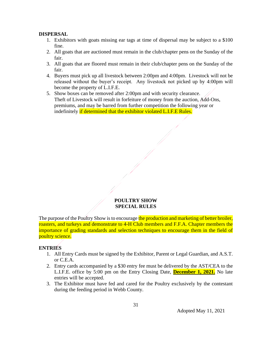#### **DISPERSAL**

- 1. Exhibitors with goats missing ear tags at time of dispersal may be subject to a \$100 fine.
- 2. All goats that are auctioned must remain in the club/chapter pens on the Sunday of the fair.
- 3. All goats that are floored must remain in their club/chapter pens on the Sunday of the fair.
- 4. Buyers must pick up all livestock between 2:00pm and 4:00pm. Livestock will not be released without the buyer's receipt. Any livestock not picked up by 4:00pm will become the property of L.I.F.E.
- 5. Show boxes can be removed after 2:00pm and with security clearance. Theft of Livestock will result in forfeiture of money from the auction, Add-Ons, premiums, and may be barred from further competition the following year or indefinitely if determined that the exhibitor violated L.I.F.E Rules.

#### **POULTRY SHOW SPECIAL RULES**

The purpose of the Poultry Show is to encourage the production and marketing of better broiler, roasters, and turkeys and demonstrate to 4-H Club members and F.F.A. Chapter members the importance of grading standards and selection techniques to encourage them in the field of poultry science.

#### **ENTRIES**

- 1. All Entry Cards must be signed by the Exhibitor, Parent or Legal Guardian, and A.S.T. or C.E.A.
- 2. Entry cards accompanied by a \$30 entry fee must be delivered by the AST/CEA to the L.I.F.E. office by 5:00 pm on the Entry Closing Date, **December 1, 2021.** No late entries will be accepted.
- 3. The Exhibitor must have fed and cared for the Poultry exclusively by the contestant during the feeding period in Webb County.

31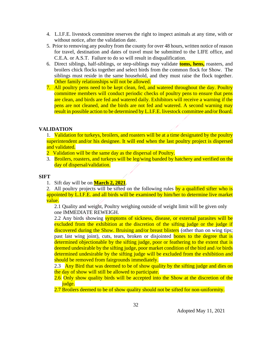- 4. L.I.F.E. livestock committee reserves the right to inspect animals at any time, with or without notice, after the validation date.
- 5. Prior to removing any poultry from the county for over 48 hours, written notice of reason for travel, destination and dates of travel must be submitted to the LIFE office, and C.E.A. or A.S.T. Failure to do so will result in disqualification.
- 6. Direct siblings, half-siblings, or step-siblings may validate **toms, hens,** roasters, and broilers chick flocks together and select birds from the common flock for Show. The siblings must reside in the same household, and they must raise the flock together. Other family relationships will not be allowed.
- 7. All poultry pens need to be kept clean, fed, and watered throughout the day. Poultry committee members will conduct periodic checks of poultry pens to ensure that pens are clean, and birds are fed and watered daily. Exhibitors will receive a warning if the pens are not cleaned, and the birds are not fed and watered. A second warning may result in possible action to be determined by L.I.F.E. livestock committee and/or Board.

#### **VALIDATION**

1. Validation for turkeys, broilers, and roasters will be at a time designated by the poultry superintendent and/or his designee. It will end when the last poultry project is dispersed and validated.

2 Validation will be the same day as the dispersal of Poultry.

3. Broilers, roasters, and turkeys will be leg/wing banded by hatchery and verified on the day of dispersal/validation.

#### **SIFT**

1. Sift day will be on **March 2, 2021**.

2. All poultry projects will be sifted on the following rules by a qualified sifter who is appointed by L.I.F.E. and all birds will be examined by him/her to determine live market value.

2.1 Quality and weight, Poultry weighing outside of weight limit will be given only one IMMEDIATE REWEIGH.

2.2 Any birds showing symptoms of sickness, disease, or external parasites will be excluded from the exhibition at the discretion of the sifting judge or the judge if discovered during the Show. Bruising and/or breast blisters (other than on wing tips; past last wing joint), cuts, tears, broken or disjointed bones to the degree that is determined objectionable by the sifting judge, poor or feathering to the extent that is deemed undesirable by the sifting judge, poor market condition of the bird and /or birds determined undesirable by the sifting judge will be excluded from the exhibition and should be removed from fairgrounds immediately.

2.3 Any Bird that was deemed to be of show quality by the sifting judge and dies on the day of show will still be allowed to participate.

2.6 Only show quality birds will be accepted into the Show at the discretion of the judge.

2.7 Broilers deemed to be of show quality should not be sifted for non-uniformity.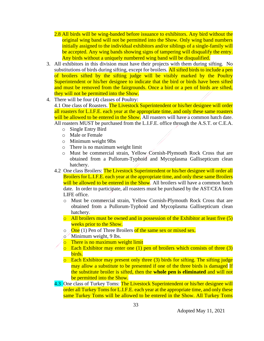- 2.8 All birds will be wing-banded before issuance to exhibitors. Any bird without the original wing band will not be permitted into the Show. Only wing band numbers initially assigned to the individual exhibitors and/or siblings of a single-family will be accepted. Any wing bands showing signs of tampering will disqualify the entry. Any birds without a uniquely numbered wing band will be disqualified.
- 3. All exhibitors in this division must have their projects with them during sifting. No substitutions of birds during sifting, except for broilers. All sifted birds to include a pen of broilers sifted by the sifting judge will be visibly marked by the Poultry Superintendent or his/her designee to indicate that the bird or birds have been sifted and must be removed from the fairgrounds. Once a bird or a pen of birds are sifted, they will not be permitted into the Show.
- 4. There will be four (4) classes of Poultry:

4.1 One class of Roasters. The Livestock Superintendent or his/her designee will order all roasters for L.I.F.E. each year at the appropriate time, and only these same roasters will be allowed to be entered in the Show. All roasters will have a common hatch date. All roasters MUST be purchased from the L.I.F.E. office through the A.S.T. or C.E.A.

- o Single Entry Bird
- o Male or Female
- o Minimum weight 9lbs
- o There is no maximum weight limit
- o Must be commercial strain, Yellow Cornish-Plymouth Rock Cross that are obtained from a Pullorum-Typhoid and Mycoplasma Gallisepticum clean hatchery.
- 4.2 One class Broilers: The Livestock Superintendent or his/her designee will order all Broilers for L.I.F.E. each year at the appropriate time, and only these same Broilers will be allowed to be entered in the Show. All broilers will have a common hatch date. In order to participate, all roasters must be purchased by the AST/CEA from LIFE office.
	- o Must be commercial strain, Yellow Cornish-Plymouth Rock Cross that are obtained from a Pullorum-Typhoid and Mycoplasma Gallisepticum clean hatchery.
	- $\circ$  All broilers must be owned and in possession of the Exhibitor at least five (5) weeks prior to the Show.
	- $\circ$  One (1) Pen of Three Broilers of the same sex or mixed sex.
	- $\circ$  Minimum weight, 9 lbs.
	- o There is no maximum weight limit
	- $\circ$  Each Exhibitor may enter one (1) pen of broilers which consists of three (3) birds.
	- $\circ$  Each Exhibitor may present only three (3) birds for sifting. The sifting judge may allow a substitute to be presented if one of the three birds is damaged If the substitute broiler is sifted, then the **whole pen is eliminated** and will not be permitted into the Show.
- 4.3 One class of Turkey Toms: The Livestock Superintendent or his/her designee will order all Turkey Toms for L.I.F.E. each year at the appropriate time, and only these same Turkey Toms will be allowed to be entered in the Show. All Turkey Toms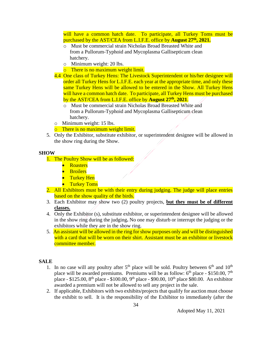will have a common hatch date. To participate, all Turkey Toms must be purchased by the AST/CEA from L.I.F.E. office by **August 27th, 2021.**

- o Must be commercial strain Nicholas Broad Breasted White and from a Pullorum-Typhoid and Mycoplasma Gallisepticum clean hatchery.
- o Minimum weight: 20 lbs.
- o There is no maximum weight limit.
- 4.4 One class of Turkey Hens: The Livestock Superintendent or his/her designee will order all Turkey Hens for L.I.F.E. each year at the appropriate time, and only these same Turkey Hens will be allowed to be entered in the Show. All Turkey Hens will have a common hatch date. To participate, all Turkey Hens must be purchased by the AST/CEA from L.I.F.E. office by **August 27th, 2021**.
	- o Must be commercial strain Nicholas Broad Breasted White and from a Pullorum-Typhoid and Mycoplasma Gallisepticum clean hatchery.
- o Minimum weight: 15 lbs.
- o There is no maximum weight limit.
- 5. Only the Exhibitor, substitute exhibitor, or superintendent designee will be allowed in the show ring during the Show.

#### **SHOW**

- 1. The Poultry Show will be as followed:
	- **Roasters**
	- Broilers
	- Turkey Hen
	- **•** Turkey Toms
- 2. All Exhibitors must be with their entry during judging. The judge will place entries based on the show quality of the birds.
- 3. Each Exhibitor may show two (2) poultry projects, **but they must be of different classes.**
- 4. Only the Exhibitor (s), substitute exhibitor, or superintendent designee will be allowed in the show ring during the judging**.** No one may disturb or interrupt the judging or the exhibitors while they are in the show ring.
- 5. An assistant will be allowed in the ring for show purposes only and will be distinguished with a card that will be worn on their shirt. Assistant must be an exhibitor or livestock committee member.

#### **SALE**

- 1. In no case will any poultry after  $5<sup>th</sup>$  place will be sold. Poultry between  $6<sup>th</sup>$  and  $10<sup>th</sup>$ place will be awarded premiums. Premiums will be as follow:  $6<sup>th</sup>$  place - \$150.00, 7<sup>th</sup> place - \$125.00, 8<sup>th</sup> place - \$100.00, 9<sup>th</sup> place - \$90.00, 10<sup>th</sup> place \$80.00. An exhibitor awarded a premium will not be allowed to sell any project in the sale.
- 2. If applicable, Exhibitors with two exhibits/projects that qualify for auction must choose the exhibit to sell. It is the responsibility of the Exhibitor to immediately (after the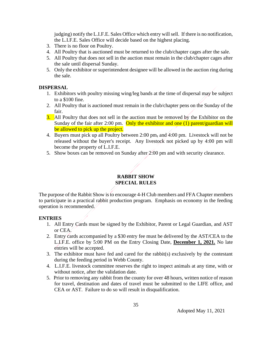judging) notify the L.I.F.E. Sales Office which entry will sell. If there is no notification, the L.I.F.E. Sales Office will decide based on the highest placing.

- 3. There is no floor on Poultry.
- 4. All Poultry that is auctioned must be returned to the club/chapter cages after the sale.
- 5. All Poultry that does not sell in the auction must remain in the club/chapter cages after the sale until dispersal Sunday.
- 5. Only the exhibitor or superintendent designee will be allowed in the auction ring during the sale.

#### **DISPERSAL**

- 1. Exhibitors with poultry missing wing/leg bands at the time of dispersal may be subject to a \$100 fine.
- 2. All Poultry that is auctioned must remain in the club/chapter pens on the Sunday of the fair.
- 3. All Poultry that does not sell in the auction must be removed by the Exhibitor on the Sunday of the fair after 2:00 pm. Only the exhibitor and one  $(1)$  parent/guardian will be allowed to pick up the project.
- 4. Buyers must pick up all Poultry between 2:00 pm, and 4:00 pm. Livestock will not be released without the buyer's receipt. Any livestock not picked up by 4:00 pm will become the property of L.I.F.E.
- 5. Show boxes can be removed on Sunday after 2:00 pm and with security clearance.

#### **RABBIT SHOW SPECIAL RULES**

The purpose of the Rabbit Show is to encourage 4-H Club members and FFA Chapter members to participate in a practical rabbit production program. Emphasis on economy in the feeding operation is recommended.

#### **ENTRIES**

- 1. All Entry Cards must be signed by the Exhibitor, Parent or Legal Guardian, and AST or CEA.
- 2. Entry cards accompanied by a \$30 entry fee must be delivered by the AST/CEA to the L.I.F.E. office by 5:00 PM on the Entry Closing Date, **December 1, 2021.** No late entries will be accepted.
- 3. The exhibitor must have fed and cared for the rabbit(s) exclusively by the contestant during the feeding period in Webb County.
- 4. L.I.F.E. livestock committee reserves the right to inspect animals at any time, with or without notice, after the validation date.
- 5. Prior to removing any rabbit from the county for over 48 hours, written notice of reason for travel, destination and dates of travel must be submitted to the LIFE office, and CEA or AST. Failure to do so will result in disqualification.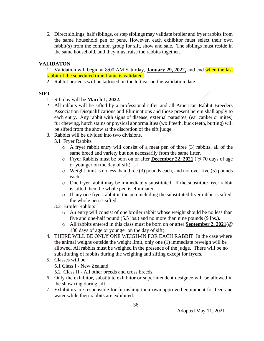6. Direct siblings, half siblings, or step siblings may validate broiler and fryer rabbits from the same household pen or pens. However, each exhibitor must select their own rabbit(s) from the common group for sift, show and sale. The siblings must reside in the same household, and they must raise the rabbits together.

#### **VALIDATON**

1. Validation will begin at 8:00 AM Saturday, **January 29, 2022,** and end when the last rabbit of the scheduled time frame is validated.

2. Rabbit projects will be tattooed on the left ear on the validation date.

#### **SIFT**

- 1. Sift day will be **March 1, 2022.**
- 2. All rabbits will be sifted by a professional sifter and all American Rabbit Breeders Association Disqualifications and Eliminations and those present herein shall apply to each entry. Any rabbit with signs of disease, external parasites, (ear canker or mites) fur chewing, hutch stains or physical abnormalities (wolf teeth, buck teeth, butting) will be sifted from the show at the discretion of the sift judge.
- 3. Rabbits will be divided into two divisions.
	- 3.1 Fryer Rabbits
		- o A fryer rabbit entry will consist of a meat pen of three (3) rabbits, all of the same breed and variety but not necessarily from the same litter.
		- o Fryer Rabbits must be born on or after **December 22, 2021** (@ 70 days of age or younger on the day of sift).
		- $\circ$  Weight limit is no less than three (3) pounds each, and not over five (5) pounds each.
		- o One fryer rabbit may be immediately substituted. If the substitute fryer rabbit is sifted then the whole pen is eliminated.
		- o If any one fryer rabbit in the pen including the substituted fryer rabbit is sifted, the whole pen is sifted.
	- 3.2 Broiler Rabbits
		- o An entry will consist of one broiler rabbit whose weight should be no less than five and one-half pound (5.5 lbs.) and no more than nine pounds (9 lbs.).
		- o All rabbits entered in this class must be born on or after **September 2, 2021**(@ 180 days of age or younger on the day of sift).
- 4. THERE WILL BE ONLY ONE WEIGH-IN FOR EACH RABBIT. In the case where the animal weighs outside the weight limit, only one (1) immediate reweigh will be allowed. All rabbits must be weighed in the presence of the judge. There will be no substituting of rabbits during the weighing and sifting except for fryers.
- 5. Classes will be:
	- 5.1 Class I New Zealand
	- 5.2 Class II All other breeds and cross breeds
- 6. Only the exhibitor, substitute exhibitor or superintendent designee will be allowed in the show ring during sift.
- 7. Exhibitors are responsible for furnishing their own approved equipment for feed and water while their rabbits are exhibited.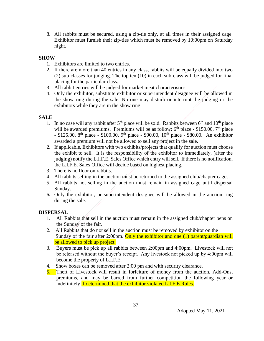8. All rabbits must be secured, using a zip-tie only, at all times in their assigned cage. Exhibitor must furnish their zip-ties which must be removed by 10:00pm on Saturday night.

#### **SHOW**

- 1. Exhibitors are limited to two entries.
- 2. If there are more than 40 entries in any class, rabbits will be equally divided into two (2) sub-classes for judging. The top ten (10) in each sub-class will be judged for final placing for the particular class.
- 3. All rabbit entries will be judged for market meat characteristics.
- 4. Only the exhibitor, substitute exhibitor or superintendent designee will be allowed in the show ring during the sale. No one may disturb or interrupt the judging or the exhibitors while they are in the show ring.

#### **SALE**

- 1. In no case will any rabbit after  $5<sup>th</sup>$  place will be sold. Rabbits between  $6<sup>th</sup>$  and  $10<sup>th</sup>$  place will be awarded premiums. Premiums will be as follow:  $6<sup>th</sup>$  place - \$150.00,  $7<sup>th</sup>$  place - \$125.00, 8<sup>th</sup> place - \$100.00, 9<sup>th</sup> place - \$90.00, 10<sup>th</sup> place - \$80.00. An exhibitor awarded a premium will not be allowed to sell any project in the sale.
- 2. If applicable, Exhibitors with two exhibits/projects that qualify for auction must choose the exhibit to sell. It is the responsibility of the exhibitor to immediately, (after the judging) notify the L.I.F.E. Sales Office which entry will sell. If there is no notification, the L.I.F.E. Sales Office will decide based on highest placing.
- 3. There is no floor on rabbits.
- 4. All rabbits selling in the auction must be returned to the assigned club/chapter cages.
- 5. All rabbits not selling in the auction must remain in assigned cage until dispersal Sunday.
- 6**.** Only the exhibitor, or superintendent designee will be allowed in the auction ring during the sale.

#### **DISPERSAL**

- 1. All Rabbits that sell in the auction must remain in the assigned club/chapter pens on the Sunday of the fair.
- 2. All Rabbits that do not sell in the auction must be removed by exhibitor on the Sunday of the fair after 2:00pm. Only the exhibitor and one (1) parent/guardian will be allowed to pick up project.
- 3. Buyers must be pick up all rabbits between 2:00pm and 4:00pm. Livestock will not be released without the buyer's receipt. Any livestock not picked up by 4:00pm will become the property of L.I.F.E.
- 4. Show boxes can be removed after 2:00 pm and with security clearance.
- 5. Theft of Livestock will result in forfeiture of money from the auction, Add-Ons, premiums, and may be barred from further competition the following year or indefinitely if determined that the exhibitor violated L.I.F.E Rules.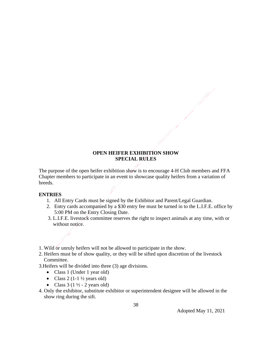#### **OPEN HEIFER EXHIBITION SHOW SPECIAL RULES**

The purpose of the open heifer exhibition show is to encourage 4-H Club members and FFA Chapter members to participate in an event to showcase quality heifers from a variation of breeds.

#### **ENTRIES**

- 1. All Entry Cards must be signed by the Exhibitor and Parent/Legal Guardian.
- 2. Entry cards accompanied by a \$30 entry fee must be turned in to the L.I.F.E. office by 5:00 PM on the Entry Closing Date.
- 3. L.I.F.E. livestock committee reserves the right to inspect animals at any time, with or without notice.
- 1. Wild or unruly heifers will not be allowed to participate in the show.
- 2. Heifers must be of show quality, or they will be sifted upon discretion of the livestock Committee.

3.Heifers will be divided into three (3) age divisions.

- Class 1 (Under 1 year old)
- Class 2 (1-1  $\frac{1}{2}$  years old)
- Class  $3(1\frac{1}{2} 2 \text{ years old})$
- 4. Only the exhibitor, substitute exhibitor or superintendent designee will be allowed in the show ring during the sift.